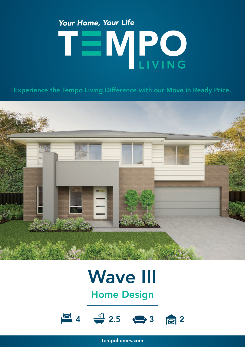# Your Home, Your Life TEMPO

Experience the Tempo Living Difference with our Move in Ready Price.



## Wave III

Home Design



tempohomes.com